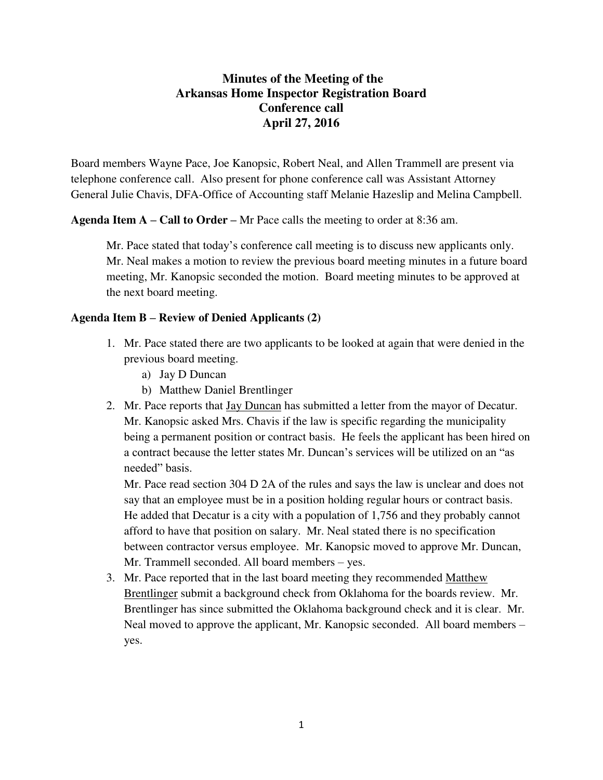## **Minutes of the Meeting of the Arkansas Home Inspector Registration Board Conference call April 27, 2016**

Board members Wayne Pace, Joe Kanopsic, Robert Neal, and Allen Trammell are present via telephone conference call. Also present for phone conference call was Assistant Attorney General Julie Chavis, DFA-Office of Accounting staff Melanie Hazeslip and Melina Campbell.

**Agenda Item A – Call to Order –** Mr Pace calls the meeting to order at 8:36 am.

Mr. Pace stated that today's conference call meeting is to discuss new applicants only. Mr. Neal makes a motion to review the previous board meeting minutes in a future board meeting, Mr. Kanopsic seconded the motion. Board meeting minutes to be approved at the next board meeting.

## **Agenda Item B – Review of Denied Applicants (2)**

- 1. Mr. Pace stated there are two applicants to be looked at again that were denied in the previous board meeting.
	- a) Jay D Duncan
	- b) Matthew Daniel Brentlinger
- 2. Mr. Pace reports that Jay Duncan has submitted a letter from the mayor of Decatur. Mr. Kanopsic asked Mrs. Chavis if the law is specific regarding the municipality being a permanent position or contract basis. He feels the applicant has been hired on a contract because the letter states Mr. Duncan's services will be utilized on an "as needed" basis.

Mr. Pace read section 304 D 2A of the rules and says the law is unclear and does not say that an employee must be in a position holding regular hours or contract basis. He added that Decatur is a city with a population of 1,756 and they probably cannot afford to have that position on salary. Mr. Neal stated there is no specification between contractor versus employee. Mr. Kanopsic moved to approve Mr. Duncan, Mr. Trammell seconded. All board members – yes.

3. Mr. Pace reported that in the last board meeting they recommended Matthew Brentlinger submit a background check from Oklahoma for the boards review. Mr. Brentlinger has since submitted the Oklahoma background check and it is clear. Mr. Neal moved to approve the applicant, Mr. Kanopsic seconded. All board members – yes.